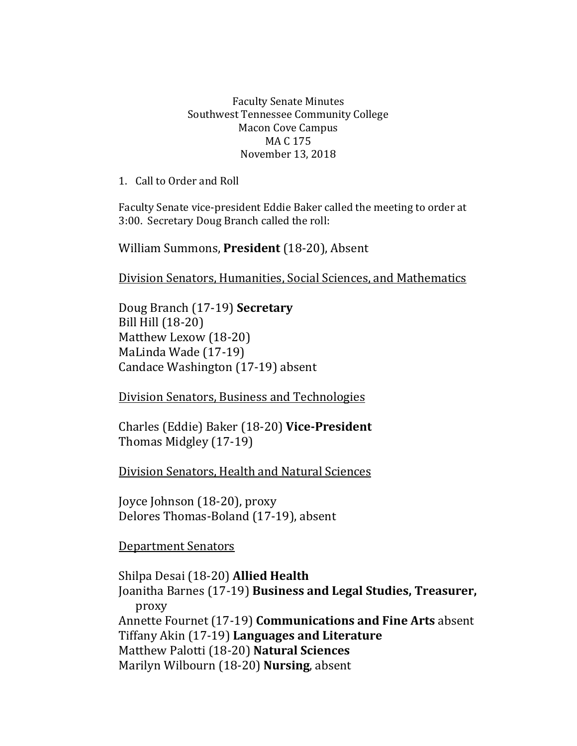## Faculty Senate Minutes Southwest Tennessee Community College Macon Cove Campus MA C 175 November 13, 2018

1. Call to Order and Roll

Faculty Senate vice-president Eddie Baker called the meeting to order at 3:00. Secretary Doug Branch called the roll:

William Summons, **President** (18-20), Absent

Division Senators, Humanities, Social Sciences, and Mathematics

Doug Branch (17-19) **Secretary** Bill Hill (18-20) Matthew Lexow (18-20) MaLinda Wade (17-19) Candace Washington (17-19) absent

Division Senators, Business and Technologies

Charles (Eddie) Baker (18-20) **Vice-President** Thomas Midgley (17-19)

Division Senators, Health and Natural Sciences

Joyce Johnson (18-20), proxy Delores Thomas-Boland (17-19), absent

Department Senators

Shilpa Desai (18-20) **Allied Health** Joanitha Barnes (17-19) **Business and Legal Studies, Treasurer,**  proxy Annette Fournet (17-19) **Communications and Fine Arts** absent Tiffany Akin (17-19) **Languages and Literature** Matthew Palotti (18-20) **Natural Sciences** Marilyn Wilbourn (18-20) **Nursing**, absent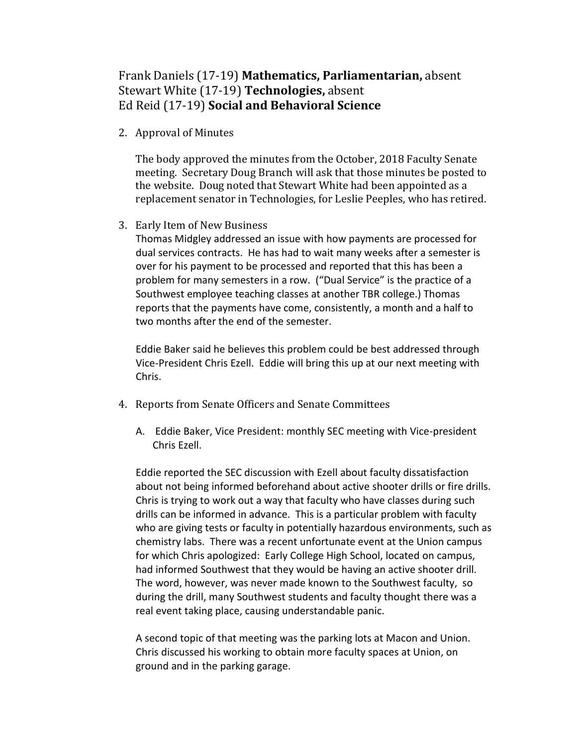## Frank Daniels (17-19) **Mathematics, Parliamentarian,** absent Stewart White (17-19) **Technologies,** absent Ed Reid (17-19) **Social and Behavioral Science**

2. Approval of Minutes

The body approved the minutes from the October, 2018 Faculty Senate meeting. Secretary Doug Branch will ask that those minutes be posted to the website. Doug noted that Stewart White had been appointed as a replacement senator in Technologies, for Leslie Peeples, who has retired.

3. Early Item of New Business

Thomas Midgley addressed an issue with how payments are processed for dual services contracts. He has had to wait many weeks after a semester is over for his payment to be processed and reported that this has been a problem for many semesters in a row. ("Dual Service" is the practice of a Southwest employee teaching classes at another TBR college.) Thomas reports that the payments have come, consistently, a month and a half to two months after the end of the semester.

Eddie Baker said he believes this problem could be best addressed through Vice-President Chris Ezell. Eddie will bring this up at our next meeting with Chris.

- 4. Reports from Senate Officers and Senate Committees
	- A. Eddie Baker, Vice President: monthly SEC meeting with Vice-president Chris Ezell.

Eddie reported the SEC discussion with Ezell about faculty dissatisfaction about not being informed beforehand about active shooter drills or fire drills. Chris is trying to work out a way that faculty who have classes during such drills can be informed in advance. This is a particular problem with faculty who are giving tests or faculty in potentially hazardous environments, such as chemistry labs. There was a recent unfortunate event at the Union campus for which Chris apologized: Early College High School, located on campus, had informed Southwest that they would be having an active shooter drill. The word, however, was never made known to the Southwest faculty, so during the drill, many Southwest students and faculty thought there was a real event taking place, causing understandable panic.

A second topic of that meeting was the parking lots at Macon and Union. Chris discussed his working to obtain more faculty spaces at Union, on ground and in the parking garage.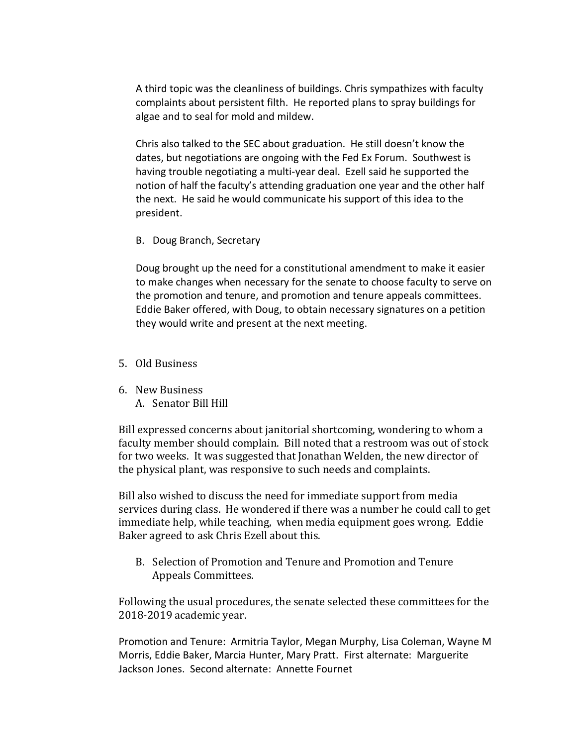A third topic was the cleanliness of buildings. Chris sympathizes with faculty complaints about persistent filth. He reported plans to spray buildings for algae and to seal for mold and mildew.

Chris also talked to the SEC about graduation. He still doesn't know the dates, but negotiations are ongoing with the Fed Ex Forum. Southwest is having trouble negotiating a multi-year deal. Ezell said he supported the notion of half the faculty's attending graduation one year and the other half the next. He said he would communicate his support of this idea to the president.

B. Doug Branch, Secretary

Doug brought up the need for a constitutional amendment to make it easier to make changes when necessary for the senate to choose faculty to serve on the promotion and tenure, and promotion and tenure appeals committees. Eddie Baker offered, with Doug, to obtain necessary signatures on a petition they would write and present at the next meeting.

- 5. Old Business
- 6. New Business A. Senator Bill Hill

Bill expressed concerns about janitorial shortcoming, wondering to whom a faculty member should complain. Bill noted that a restroom was out of stock for two weeks. It was suggested that Jonathan Welden, the new director of the physical plant, was responsive to such needs and complaints.

Bill also wished to discuss the need for immediate support from media services during class. He wondered if there was a number he could call to get immediate help, while teaching, when media equipment goes wrong. Eddie Baker agreed to ask Chris Ezell about this.

B. Selection of Promotion and Tenure and Promotion and Tenure Appeals Committees.

Following the usual procedures, the senate selected these committees for the 2018-2019 academic year.

Promotion and Tenure: Armitria Taylor, Megan Murphy, Lisa Coleman, Wayne M Morris, Eddie Baker, Marcia Hunter, Mary Pratt. First alternate: Marguerite Jackson Jones. Second alternate: Annette Fournet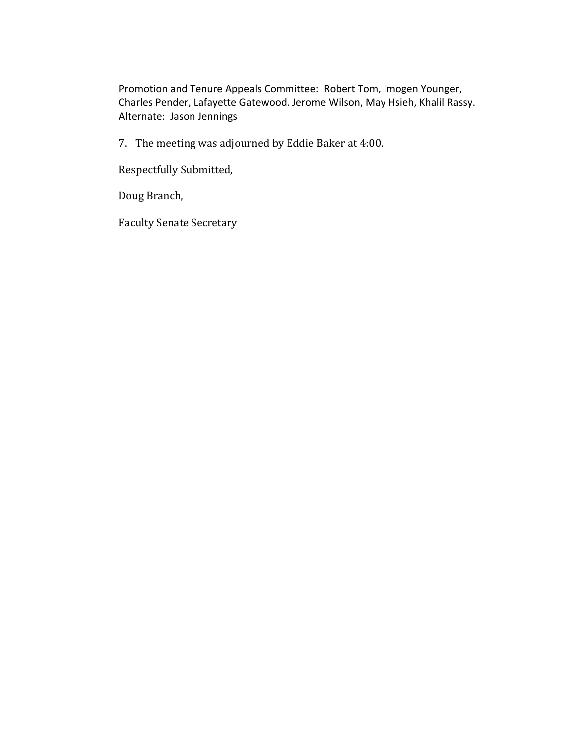Promotion and Tenure Appeals Committee: Robert Tom, Imogen Younger, Charles Pender, Lafayette Gatewood, Jerome Wilson, May Hsieh, Khalil Rassy. Alternate: Jason Jennings

7. The meeting was adjourned by Eddie Baker at 4:00.

Respectfully Submitted,

Doug Branch,

Faculty Senate Secretary